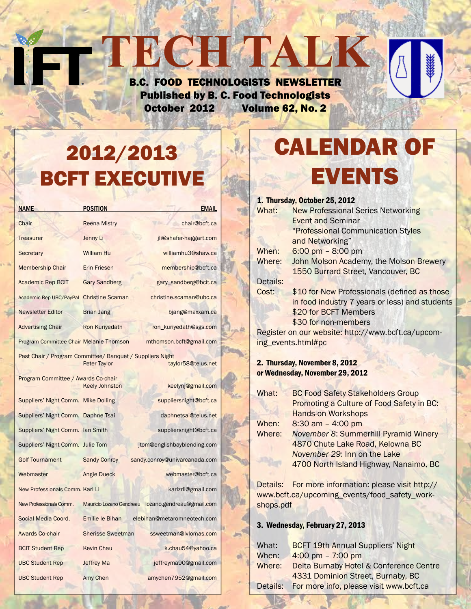### B.C. FOOD TECHNOLOGISTS NEWSLETTER Published by B. C. Food Technologists October 2012 Volume 62, No. 2

**TECH TALK** 

# 2012/2013 BCFT EXECUTIVE

| <b>NAME</b>                                                                                            | <b>POSITION</b>          | <b>EMAIL</b>                  |  |  |  |
|--------------------------------------------------------------------------------------------------------|--------------------------|-------------------------------|--|--|--|
| Chair                                                                                                  | <b>Reena Mistry</b>      | chair@bcft.ca                 |  |  |  |
| <b>Treasurer</b>                                                                                       | Jenny Li                 | jli@shafer-haggart.com        |  |  |  |
| Secretary                                                                                              | <b>William Hu</b>        | williamhu3@shaw.ca            |  |  |  |
| <b>Membership Chair</b>                                                                                | <b>Erin Friesen</b>      | membership@bcft.ca            |  |  |  |
| <b>Academic Rep BCIT</b>                                                                               | <b>Gary Sandberg</b>     | gary_sandberg@bcit.ca         |  |  |  |
| Academic Rep UBC/PayPal                                                                                | <b>Christine Scaman</b>  | christine.scaman@ubc.ca       |  |  |  |
| <b>Newsletter Editor</b>                                                                               | <b>Brian Jang</b>        | bjang@maxxam.ca               |  |  |  |
| <b>Advertising Chair</b>                                                                               | <b>Ron Kuriyedath</b>    | ron_kuriyedath@sgs.com        |  |  |  |
| <b>Program Committee Chair Melanie Thomson</b>                                                         |                          | mthomson.bcft@gmail.com       |  |  |  |
| Past Chair / Program Committee/ Banquet / Suppliers Night<br><b>Peter Taylor</b><br>taylor58@telus.net |                          |                               |  |  |  |
| Program Committee / Awards Co-chair                                                                    | <b>Keely Johnston</b>    | keelynj@gmail.com             |  |  |  |
| Suppliers' Night Comm. Mike Dolling                                                                    |                          | suppliersnight@bcft.ca        |  |  |  |
| Suppliers' Night Comm. Daphne Tsai                                                                     |                          | daphnetsai@telus.net          |  |  |  |
| Suppliers' Night Comm. Ian Smith                                                                       |                          | suppliersnight@bcft.ca        |  |  |  |
| Suppliers' Night Comm. Julie Tom                                                                       |                          | jtom@englishbayblending.com   |  |  |  |
| <b>Golf Tournament</b>                                                                                 | <b>Sandy Conroy</b>      | sandy.conroy@univarcanada.com |  |  |  |
| Webmaster                                                                                              | <b>Angie Dueck</b>       | webmaster@bcft.ca             |  |  |  |
| New Professionals Comm. Karl Li                                                                        |                          | karlzrli@gmail.com            |  |  |  |
| New Professionals Comm.                                                                                | Mauricio Lozano Gendreau | lozano.gendreau@gmail.com     |  |  |  |
| Social Media Coord.                                                                                    | Emilie le Bihan          | elebihan@metaromneotech.com   |  |  |  |
| <b>Awards Co-chair</b>                                                                                 | <b>Sherisse Sweetman</b> | ssweetman@lvlomas.com         |  |  |  |
| <b>BCIT Student Rep</b>                                                                                | <b>Kevin Chau</b>        | k.chau54@yahoo.ca             |  |  |  |
| <b>UBC Student Rep</b>                                                                                 | <b>Jeffrey Ma</b>        | jeffreyma90@gmail.com         |  |  |  |
| <b>UBC Student Rep</b>                                                                                 | Amy Chen                 | amychen7952@gmail.com         |  |  |  |

# **ALENDAR OF EVENTS**

### 1. Thursday, October 25, 2012

| What:                                              | <b>New Professional Series Networking</b>      |  |  |  |
|----------------------------------------------------|------------------------------------------------|--|--|--|
|                                                    | <b>Event and Seminar</b>                       |  |  |  |
| "Professional Communication Styles                 |                                                |  |  |  |
|                                                    | and Networking"                                |  |  |  |
| When:                                              | 6:00 pm $-$ 8:00 pm                            |  |  |  |
| Where:                                             | John Molson Academy, the Molson Brewery        |  |  |  |
|                                                    | 1550 Burrard Street, Vancouver, BC             |  |  |  |
| Details:                                           |                                                |  |  |  |
| Cost:                                              | \$10 for New Professionals (defined as those   |  |  |  |
|                                                    | in food industry 7 years or less) and students |  |  |  |
|                                                    | \$20 for BCFT Members                          |  |  |  |
|                                                    | \$30 for non-members                           |  |  |  |
| Register on our website: http://www.bcft.ca/upcom- |                                                |  |  |  |
| ing events.html#pc                                 |                                                |  |  |  |
|                                                    |                                                |  |  |  |

### 2. Thursday, November 8, 2012 or Wednesday, November 29, 2012

| What:  | <b>BC Food Safety Stakeholders Group</b>     |  |  |
|--------|----------------------------------------------|--|--|
|        | Promoting a Culture of Food Safety in BC:    |  |  |
|        | <b>Hands-on Workshops</b>                    |  |  |
| When:  | $8:30$ am $-$ 4:00 pm                        |  |  |
| Where: | <b>November 8: Summerhill Pyramid Winery</b> |  |  |
|        | 4870 Chute Lake Road, Kelowna BC             |  |  |
|        | November 29: Inn on the Lake                 |  |  |
|        | 4700 North Island Highway, Nanaimo, BC       |  |  |

Details: For more information: please visit http:// www.bcft.ca/upcoming\_events/food\_safety\_workshops.pdf

### 3. Wednesday, February 27, 2013

| What:  | <b>BCFT 19th Annual Suppliers' Night</b>         |  |
|--------|--------------------------------------------------|--|
| When:  | 4:00 pm $-7:00$ pm                               |  |
| Where: | Delta Burnaby Hotel & Conference Centre          |  |
|        | 4331 Dominion Street, Burnaby, BC                |  |
|        | Details: For more info, please visit www.bcft.ca |  |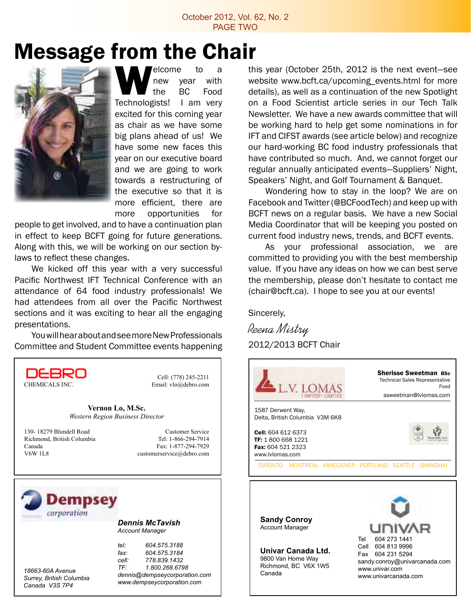## Message from the Chair



Welcome to a<br>
new year with<br>
Technologists! I am very new year with the BC Food excited for this coming year as chair as we have some big plans ahead of us! We have some new faces this year on our executive board and we are going to work towards a restructuring of the executive so that it is more efficient, there are more opportunities for

people to get involved, and to have a continuation plan in effect to keep BCFT going for future generations. Along with this, we will be working on our section bylaws to reflect these changes.

We kicked off this year with a very successful Pacific Northwest IFT Technical Conference with an attendance of 64 food industry professionals! We had attendees from all over the Pacific Northwest sections and it was exciting to hear all the engaging presentations.

YouwillhearaboutandseemoreNewProfessionals Committee and Student Committee events happening



this year (October 25th, 2012 is the next event—see website www.bcft.ca/upcoming events.html for more details), as well as a continuation of the new Spotlight on a Food Scientist article series in our Tech Talk Newsletter. We have a new awards committee that will be working hard to help get some nominations in for IFT and CIFST awards (see article below) and recognize our hard-working BC food industry professionals that have contributed so much. And, we cannot forget our regular annually anticipated events—Suppliers' Night, Speakers' Night, and Golf Tournament & Banquet.

Wondering how to stay in the loop? We are on Facebook and Twitter (@BCFoodTech) and keep up with BCFT news on a regular basis. We have a new Social Media Coordinator that will be keeping you posted on current food industry news, trends, and BCFT events.

As your professional association, we are committed to providing you with the best membership value. If you have any ideas on how we can best serve the membership, please don't hesitate to contact me (chair@bcft.ca). I hope to see you at our events!

Sincerely,

Reena Mistry 2012/2013 BCFT Chair



Account Manager

**Univar Canada Ltd.** 9800 Van Horne Way Richmond, BC V6X 1W5 Canada

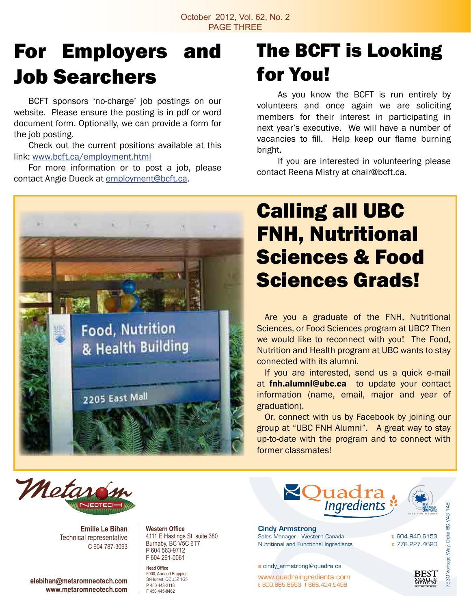# For Employers and Job Searchers

 BCFT sponsors 'no-charge' job postings on our website. Please ensure the posting is in pdf or word document form. Optionally, we can provide a form for the job posting.

 Check out the current positions available at this link: www.bcft.ca/employment.html

 For more information or to post a job, please contact Angie Dueck at employment@bcft.ca.



## The BCFT is Looking for You!

 As you know the BCFT is run entirely by volunteers and once again we are soliciting members for their interest in participating in next year's executive. We will have a number of vacancies to fill. Help keep our flame burning bright.

 If you are interested in volunteering please contact Reena Mistry at chair@bcft.ca.

## Calling all UBC FNH, Nutritional Sciences & Food Sciences Grads!

 Are you a graduate of the FNH, Nutritional Sciences, or Food Sciences program at UBC? Then we would like to reconnect with you! The Food, Nutrition and Health program at UBC wants to stay connected with its alumni.

If you are interested, send us a quick e-mail at finh.alumni@ubc.ca to update your contact information (name, email, major and year of graduation).

Or, connect with us by Facebook by joining our group at "UBC FNH Alumni". A great way to stay up-to-date with the program and to connect with former classmates!



**Emilie Le Bihan** Technical representative C 604 787-3093

**elebihan@metaromneotech.com www.metaromneotech.com** **Western Office** 4111 E Hastings St, suite 380 Burnaby, BC V5C 6T7 P 604 563-9712 F 604 291-0061

**Head Office** 5000, Armand Frappier St-Hubert, QC J3Z 1G5 P 450 443-3113 F 450 445-8462



t 604.940.6153 c 778.227.4620

**REST** 

7930 Vantage Way, Delta BC V4G 1A8

4G  $\frac{C}{D}$ Delta Nay,

Cindy Armstrong Sales Manager - Western Canada Nutritional and Functional Ingredients

e cindy\_armstrong@quadra.ca

www.quadraingredients.com t 800.665.6553 f 866.424.9458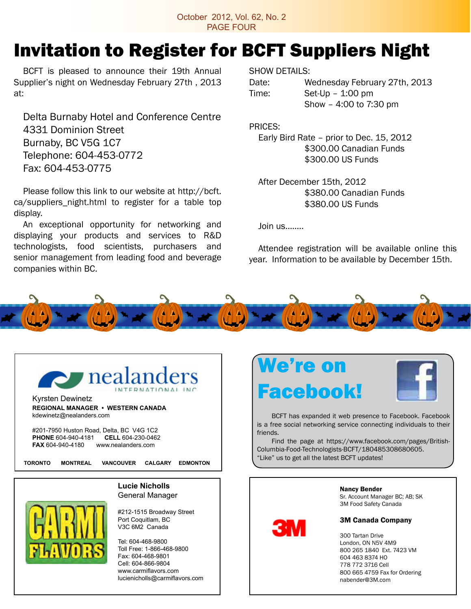October 2012, Vol. 62, No. 2 PAGE FOUR

## Invitation to Register for BCFT Suppliers Night

 BCFT is pleased to announce their 19th Annual Supplier's night on Wednesday February 27th , 2013 at:

 Delta Burnaby Hotel and Conference Centre 4331 Dominion Street Burnaby, BC V5G 1C7 Telephone: 604-453-0772 Fax: 604-453-0775

 Please follow this link to our website at http://bcft. ca/suppliers\_night.html to register for a table top display.

 An exceptional opportunity for networking and displaying your products and services to R&D technologists, food scientists, purchasers and senior management from leading food and beverage companies within BC.

SHOW DETAILS:

Date: Wednesday February 27th, 2013  $Time:$  Set-Up – 1:00 pm Show – 4:00 to 7:30 pm

PRICES:

 Early Bird Rate – prior to Dec. 15, 2012 \$300.00 Canadian Funds \$300.00 US Funds

 After December 15th, 2012 \$380.00 Canadian Funds \$380.00 US Funds

 $Join$  us  $\ldots$ 

 Attendee registration will be available online this year. Information to be available by December 15th.



Kyrsten Dewinetz **REGIONAL MANAGER • WESTERN CANADA** kdewinetz@nealanders.com

#201-7950 Huston Road, Delta, BC V4G 1C2 **PHONE** 604-940-4181 **CELL** 604-230-0462 **FAX** 604-940-4180 www.nealanders.com

**TORONTO MONTREAL VANCOUVER CALGARY EDMONTON**

**Lucie Nicholls** General Manager



#212-1515 Broadway Street Port Coquitlam, BC V3C 6M2 Canada

Tel: 604-468-9800 Toll Free: 1-866-468-9800 Fax: 604-468-9801 Cell: 604-866-9804 www.carmiflavors.com lucienicholls@carmiflavors.com





 BCFT has expanded it web presence to Facebook. Facebook is a free social networking service connecting individuals to their friends.

Find the page at https://www.facebook.com/pages/British-Columbia-Food-Technologists-BCFT/180485308680605. "Like" us to get all the latest BCFT updates!



Sr. Account Manager BC; AB; SK 3M Food Safety Canada

#### 3M Canada Company

 Tartan Drive London, ON N5V 4M9 265 1840 Ext. 7423 VM 463 8374 HO 772 3716 Cell 665 4759 Fax for Ordering nabender@3M.com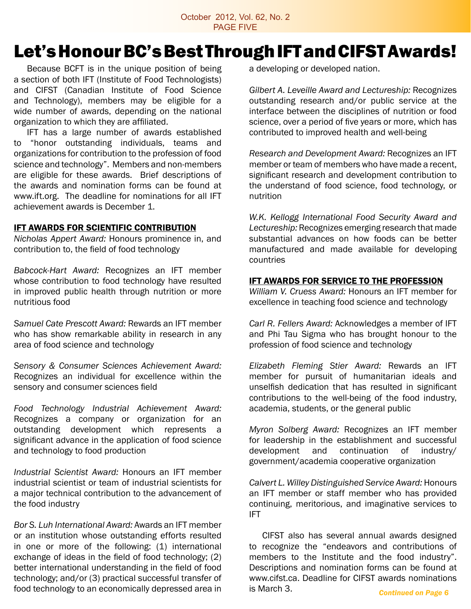## Let's Honour BC's Best Through IFT and CIFST Awards!

 Because BCFT is in the unique position of being a section of both IFT (Institute of Food Technologists) and CIFST (Canadian Institute of Food Science and Technology), members may be eligible for a wide number of awards, depending on the national organization to which they are affiliated.

 IFT has a large number of awards established to "honor outstanding individuals, teams and organizations for contribution to the profession of food science and technology". Members and non-members are eligible for these awards. Brief descriptions of the awards and nomination forms can be found at www.ift.org. The deadline for nominations for all IFT achievement awards is December 1.

#### **IFT AWARDS FOR SCIENTIFIC CONTRIBUTION**

*Nicholas Appert Award:* Honours prominence in, and contribution to, the field of food technology

*Babcock-Hart Award:* Recognizes an IFT member whose contribution to food technology have resulted in improved public health through nutrition or more nutritious food

*Samuel Cate Prescott Award:* Rewards an IFT member who has show remarkable ability in research in any area of food science and technology

*Sensory & Consumer Sciences Achievement Award:*  Recognizes an individual for excellence within the sensory and consumer sciences field

*Food Technology Industrial Achievement Award:*  Recognizes a company or organization for an outstanding development which represents a significant advance in the application of food science and technology to food production

*Industrial Scientist Award:* Honours an IFT member industrial scientist or team of industrial scientists for a major technical contribution to the advancement of the food industry

*Bor S. Luh International Award:* Awards an IFT member or an institution whose outstanding efforts resulted in one or more of the following: (1) international exchange of ideas in the field of food technology; (2) better international understanding in the field of food technology; and/or (3) practical successful transfer of food technology to an economically depressed area in a developing or developed nation.

*Gilbert A. Leveille Award and Lectureship:* Recognizes outstanding research and/or public service at the interface between the disciplines of nutrition or food science, over a period of five years or more, which has contributed to improved health and well-being

*Research and Development Award:* Recognizes an IFT member or team of members who have made a recent, significant research and development contribution to the understand of food science, food technology, or nutrition

*W.K. Kellogg International Food Security Award and Lectureship:* Recognizes emerging research that made substantial advances on how foods can be better manufactured and made available for developing countries

### IFT Awards for Service to the Profession

*William V. Cruess Award:* Honours an IFT member for excellence in teaching food science and technology

*Carl R. Fellers Award:* Acknowledges a member of IFT and Phi Tau Sigma who has brought honour to the profession of food science and technology

*Elizabeth Fleming Stier Award:* Rewards an IFT member for pursuit of humanitarian ideals and unselfish dedication that has resulted in significant contributions to the well-being of the food industry, academia, students, or the general public

*Myron Solberg Award:* Recognizes an IFT member for leadership in the establishment and successful development and continuation of industry/ government/academia cooperative organization

*Calvert L. Willey Distinguished Service Award:* Honours an IFT member or staff member who has provided continuing, meritorious, and imaginative services to IFT

CIFST also has several annual awards designed to recognize the "endeavors and contributions of members to the Institute and the food industry". Descriptions and nomination forms can be found at www.cifst.ca. Deadline for CIFST awards nominations is March 3. *Continued on Page 6*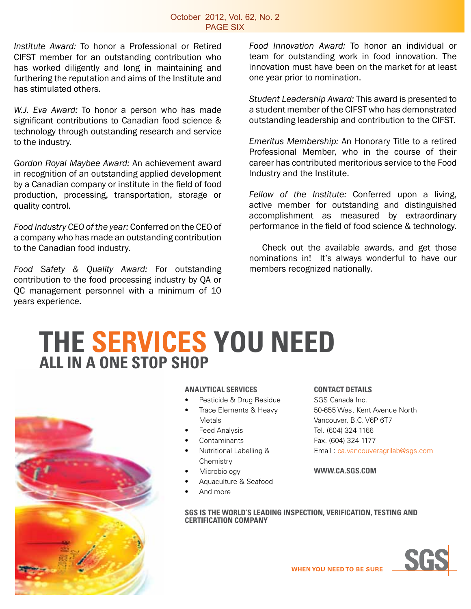*Institute Award:* To honor a Professional or Retired CIFST member for an outstanding contribution who has worked diligently and long in maintaining and furthering the reputation and aims of the Institute and has stimulated others.

*W.J. Eva Award:* To honor a person who has made significant contributions to Canadian food science & technology through outstanding research and service to the industry.

*Gordon Royal Maybee Award:* An achievement award in recognition of an outstanding applied development by a Canadian company or institute in the field of food production, processing, transportation, storage or quality control.

*Food Industry CEO of the year:* Conferred on the CEO of a company who has made an outstanding contribution to the Canadian food industry.

*Food Safety & Quality Award:* For outstanding contribution to the food processing industry by QA or QC management personnel with a minimum of 10 years experience.

*Food Innovation Award:* To honor an individual or team for outstanding work in food innovation. The innovation must have been on the market for at least one year prior to nomination.

*Student Leadership Award:* This award is presented to a student member of the CIFST who has demonstrated outstanding leadership and contribution to the CIFST.

*Emeritus Membership:* An Honorary Title to a retired Professional Member, who in the course of their career has contributed meritorious service to the Food Industry and the Institute.

*Fellow of the Institute:* Conferred upon a living, active member for outstanding and distinguished accomplishment as measured by extraordinary performance in the field of food science & technology.

Check out the available awards, and get those nominations in! It's always wonderful to have our members recognized nationally.

## **THE SERVICES YOu NEED ALL IN A ONE STOP SHOP**



### **ANALYTICAL SERVICES**

- Pesticide & Drug Residue
- Trace Elements & Heavy Metals
- **Feed Analysis**
- **Contaminants**
- **Nutritional Labelling & Chemistry**
- **Microbiology**
- Aquaculture & Seafood
- And more

### **CONTACT DETAILS**

SGS Canada Inc. 50-655 West Kent Avenue North Vancouver, B.C. V6P 6T7 Tel. (604) 324 1166 Fax. (604) 324 1177 Email : ca.vancouveragrilab@sgs.com

#### **WWW.CA.SGS.COM**

**SGS IS THE WORLD'S LEADING INSPECTION, VERIFICATION, TESTING AND CERTIFICATION COMPANY**